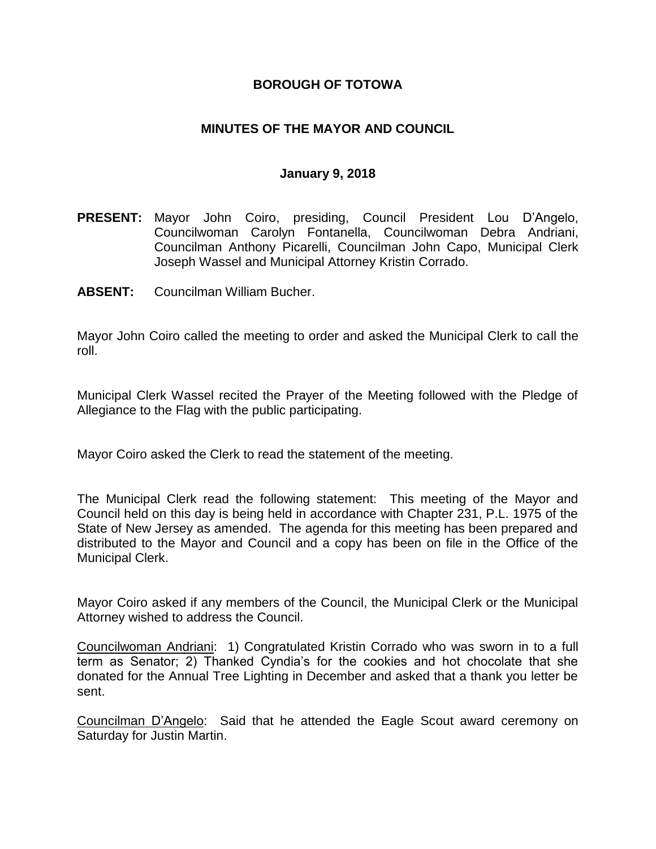## **BOROUGH OF TOTOWA**

## **MINUTES OF THE MAYOR AND COUNCIL**

#### **January 9, 2018**

- **PRESENT:** Mayor John Coiro, presiding, Council President Lou D'Angelo, Councilwoman Carolyn Fontanella, Councilwoman Debra Andriani, Councilman Anthony Picarelli, Councilman John Capo, Municipal Clerk Joseph Wassel and Municipal Attorney Kristin Corrado.
- **ABSENT:** Councilman William Bucher.

Mayor John Coiro called the meeting to order and asked the Municipal Clerk to call the roll.

Municipal Clerk Wassel recited the Prayer of the Meeting followed with the Pledge of Allegiance to the Flag with the public participating.

Mayor Coiro asked the Clerk to read the statement of the meeting.

The Municipal Clerk read the following statement: This meeting of the Mayor and Council held on this day is being held in accordance with Chapter 231, P.L. 1975 of the State of New Jersey as amended. The agenda for this meeting has been prepared and distributed to the Mayor and Council and a copy has been on file in the Office of the Municipal Clerk.

Mayor Coiro asked if any members of the Council, the Municipal Clerk or the Municipal Attorney wished to address the Council.

Councilwoman Andriani: 1) Congratulated Kristin Corrado who was sworn in to a full term as Senator; 2) Thanked Cyndia's for the cookies and hot chocolate that she donated for the Annual Tree Lighting in December and asked that a thank you letter be sent.

Councilman D'Angelo: Said that he attended the Eagle Scout award ceremony on Saturday for Justin Martin.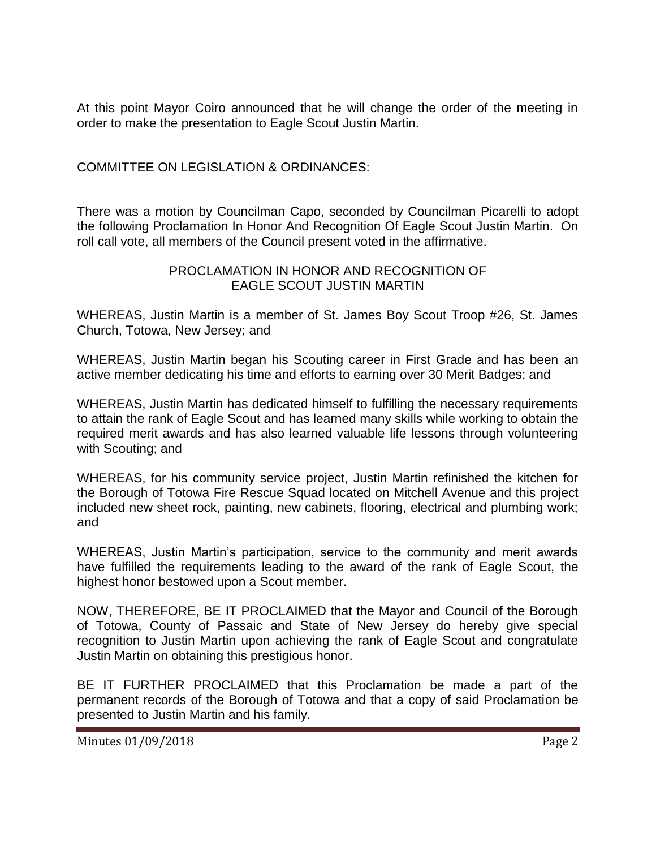At this point Mayor Coiro announced that he will change the order of the meeting in order to make the presentation to Eagle Scout Justin Martin.

COMMITTEE ON LEGISLATION & ORDINANCES:

There was a motion by Councilman Capo, seconded by Councilman Picarelli to adopt the following Proclamation In Honor And Recognition Of Eagle Scout Justin Martin. On roll call vote, all members of the Council present voted in the affirmative.

## PROCLAMATION IN HONOR AND RECOGNITION OF EAGLE SCOUT JUSTIN MARTIN

WHEREAS, Justin Martin is a member of St. James Boy Scout Troop #26, St. James Church, Totowa, New Jersey; and

WHEREAS, Justin Martin began his Scouting career in First Grade and has been an active member dedicating his time and efforts to earning over 30 Merit Badges; and

WHEREAS, Justin Martin has dedicated himself to fulfilling the necessary requirements to attain the rank of Eagle Scout and has learned many skills while working to obtain the required merit awards and has also learned valuable life lessons through volunteering with Scouting; and

WHEREAS, for his community service project, Justin Martin refinished the kitchen for the Borough of Totowa Fire Rescue Squad located on Mitchell Avenue and this project included new sheet rock, painting, new cabinets, flooring, electrical and plumbing work; and

WHEREAS, Justin Martin's participation, service to the community and merit awards have fulfilled the requirements leading to the award of the rank of Eagle Scout, the highest honor bestowed upon a Scout member.

NOW, THEREFORE, BE IT PROCLAIMED that the Mayor and Council of the Borough of Totowa, County of Passaic and State of New Jersey do hereby give special recognition to Justin Martin upon achieving the rank of Eagle Scout and congratulate Justin Martin on obtaining this prestigious honor.

BE IT FURTHER PROCLAIMED that this Proclamation be made a part of the permanent records of the Borough of Totowa and that a copy of said Proclamation be presented to Justin Martin and his family.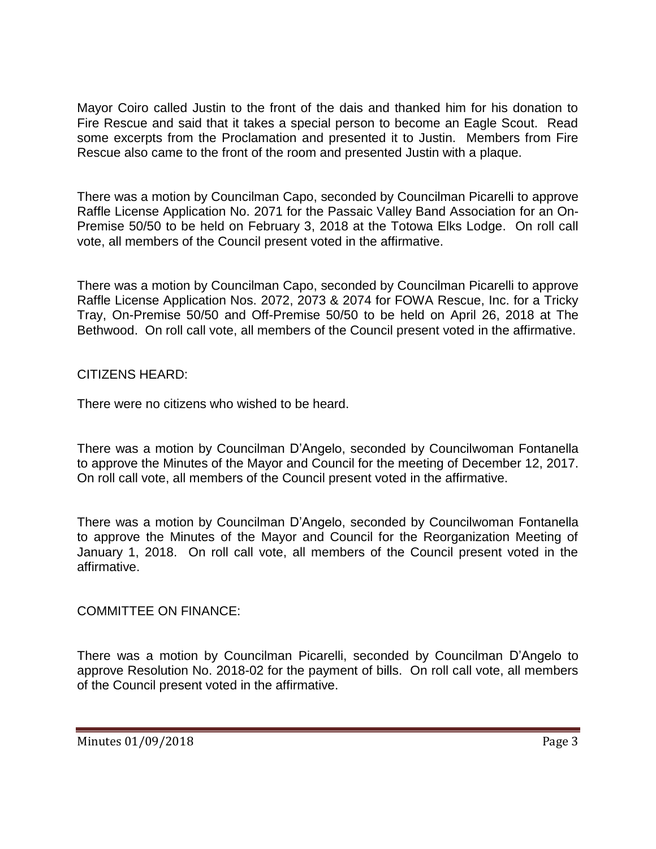Mayor Coiro called Justin to the front of the dais and thanked him for his donation to Fire Rescue and said that it takes a special person to become an Eagle Scout. Read some excerpts from the Proclamation and presented it to Justin. Members from Fire Rescue also came to the front of the room and presented Justin with a plaque.

There was a motion by Councilman Capo, seconded by Councilman Picarelli to approve Raffle License Application No. 2071 for the Passaic Valley Band Association for an On-Premise 50/50 to be held on February 3, 2018 at the Totowa Elks Lodge. On roll call vote, all members of the Council present voted in the affirmative.

There was a motion by Councilman Capo, seconded by Councilman Picarelli to approve Raffle License Application Nos. 2072, 2073 & 2074 for FOWA Rescue, Inc. for a Tricky Tray, On-Premise 50/50 and Off-Premise 50/50 to be held on April 26, 2018 at The Bethwood. On roll call vote, all members of the Council present voted in the affirmative.

# CITIZENS HEARD:

There were no citizens who wished to be heard.

There was a motion by Councilman D'Angelo, seconded by Councilwoman Fontanella to approve the Minutes of the Mayor and Council for the meeting of December 12, 2017. On roll call vote, all members of the Council present voted in the affirmative.

There was a motion by Councilman D'Angelo, seconded by Councilwoman Fontanella to approve the Minutes of the Mayor and Council for the Reorganization Meeting of January 1, 2018. On roll call vote, all members of the Council present voted in the affirmative.

# COMMITTEE ON FINANCE:

There was a motion by Councilman Picarelli, seconded by Councilman D'Angelo to approve Resolution No. 2018-02 for the payment of bills. On roll call vote, all members of the Council present voted in the affirmative.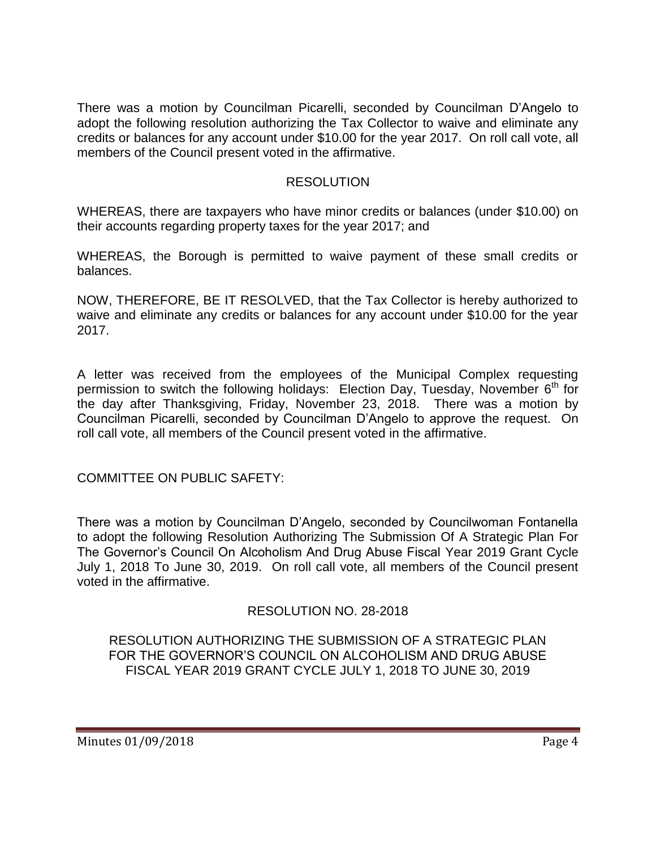There was a motion by Councilman Picarelli, seconded by Councilman D'Angelo to adopt the following resolution authorizing the Tax Collector to waive and eliminate any credits or balances for any account under \$10.00 for the year 2017. On roll call vote, all members of the Council present voted in the affirmative.

## RESOLUTION

WHEREAS, there are taxpayers who have minor credits or balances (under \$10.00) on their accounts regarding property taxes for the year 2017; and

WHEREAS, the Borough is permitted to waive payment of these small credits or balances.

NOW, THEREFORE, BE IT RESOLVED, that the Tax Collector is hereby authorized to waive and eliminate any credits or balances for any account under \$10.00 for the year 2017.

A letter was received from the employees of the Municipal Complex requesting permission to switch the following holidays: Election Day, Tuesday, November  $6<sup>th</sup>$  for the day after Thanksgiving, Friday, November 23, 2018. There was a motion by Councilman Picarelli, seconded by Councilman D'Angelo to approve the request. On roll call vote, all members of the Council present voted in the affirmative.

COMMITTEE ON PUBLIC SAFETY:

There was a motion by Councilman D'Angelo, seconded by Councilwoman Fontanella to adopt the following Resolution Authorizing The Submission Of A Strategic Plan For The Governor's Council On Alcoholism And Drug Abuse Fiscal Year 2019 Grant Cycle July 1, 2018 To June 30, 2019. On roll call vote, all members of the Council present voted in the affirmative.

# RESOLUTION NO. 28-2018

RESOLUTION AUTHORIZING THE SUBMISSION OF A STRATEGIC PLAN FOR THE GOVERNOR'S COUNCIL ON ALCOHOLISM AND DRUG ABUSE FISCAL YEAR 2019 GRANT CYCLE JULY 1, 2018 TO JUNE 30, 2019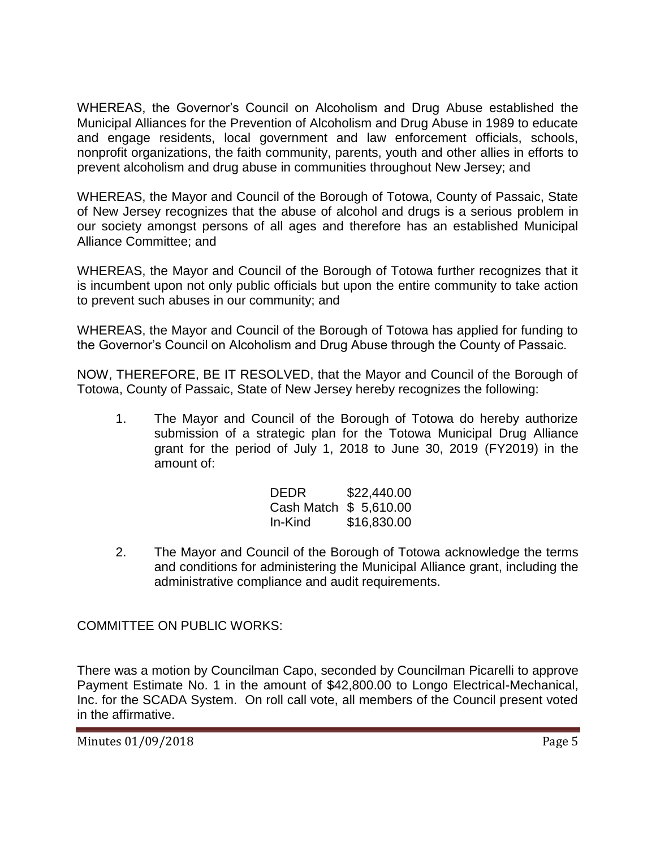WHEREAS, the Governor's Council on Alcoholism and Drug Abuse established the Municipal Alliances for the Prevention of Alcoholism and Drug Abuse in 1989 to educate and engage residents, local government and law enforcement officials, schools, nonprofit organizations, the faith community, parents, youth and other allies in efforts to prevent alcoholism and drug abuse in communities throughout New Jersey; and

WHEREAS, the Mayor and Council of the Borough of Totowa, County of Passaic, State of New Jersey recognizes that the abuse of alcohol and drugs is a serious problem in our society amongst persons of all ages and therefore has an established Municipal Alliance Committee; and

WHEREAS, the Mayor and Council of the Borough of Totowa further recognizes that it is incumbent upon not only public officials but upon the entire community to take action to prevent such abuses in our community; and

WHEREAS, the Mayor and Council of the Borough of Totowa has applied for funding to the Governor's Council on Alcoholism and Drug Abuse through the County of Passaic.

NOW, THEREFORE, BE IT RESOLVED, that the Mayor and Council of the Borough of Totowa, County of Passaic, State of New Jersey hereby recognizes the following:

1. The Mayor and Council of the Borough of Totowa do hereby authorize submission of a strategic plan for the Totowa Municipal Drug Alliance grant for the period of July 1, 2018 to June 30, 2019 (FY2019) in the amount of:

| DEDR                   | \$22,440.00 |
|------------------------|-------------|
| Cash Match \$ 5,610.00 |             |
| In-Kind                | \$16,830.00 |

2. The Mayor and Council of the Borough of Totowa acknowledge the terms and conditions for administering the Municipal Alliance grant, including the administrative compliance and audit requirements.

COMMITTEE ON PUBLIC WORKS:

There was a motion by Councilman Capo, seconded by Councilman Picarelli to approve Payment Estimate No. 1 in the amount of \$42,800.00 to Longo Electrical-Mechanical, Inc. for the SCADA System. On roll call vote, all members of the Council present voted in the affirmative.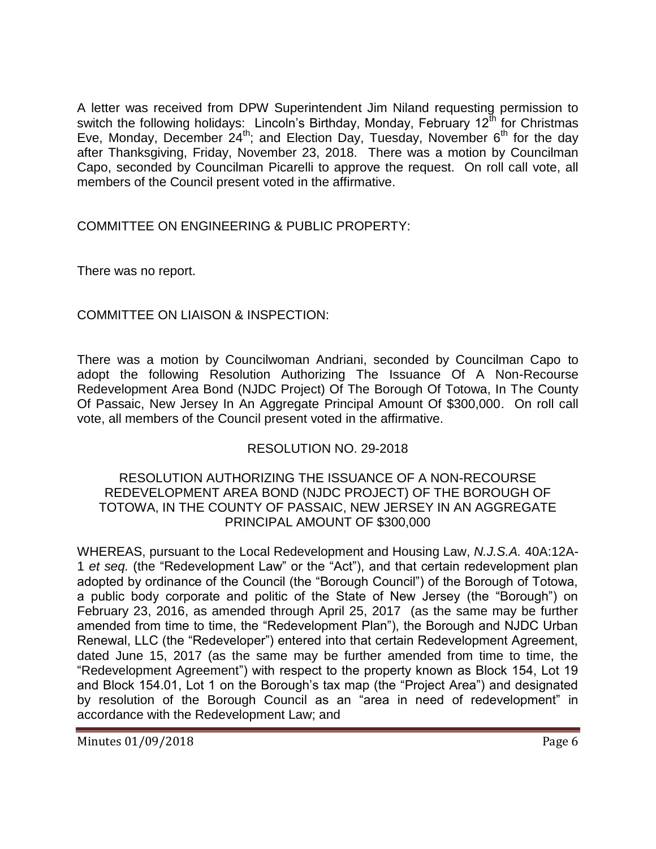A letter was received from DPW Superintendent Jim Niland requesting permission to switch the following holidays: Lincoln's Birthday, Monday, February 12<sup>th</sup> for Christmas Eve, Monday, December 24<sup>th</sup>; and Election Day, Tuesday, November  $6<sup>th</sup>$  for the day after Thanksgiving, Friday, November 23, 2018. There was a motion by Councilman Capo, seconded by Councilman Picarelli to approve the request. On roll call vote, all members of the Council present voted in the affirmative.

COMMITTEE ON ENGINEERING & PUBLIC PROPERTY:

There was no report.

# COMMITTEE ON LIAISON & INSPECTION:

There was a motion by Councilwoman Andriani, seconded by Councilman Capo to adopt the following Resolution Authorizing The Issuance Of A Non-Recourse Redevelopment Area Bond (NJDC Project) Of The Borough Of Totowa, In The County Of Passaic, New Jersey In An Aggregate Principal Amount Of \$300,000. On roll call vote, all members of the Council present voted in the affirmative.

# RESOLUTION NO. 29-2018

#### RESOLUTION AUTHORIZING THE ISSUANCE OF A NON-RECOURSE REDEVELOPMENT AREA BOND (NJDC PROJECT) OF THE BOROUGH OF TOTOWA, IN THE COUNTY OF PASSAIC, NEW JERSEY IN AN AGGREGATE PRINCIPAL AMOUNT OF \$300,000

WHEREAS, pursuant to the Local Redevelopment and Housing Law, *N.J.S.A.* 40A:12A-1 *et seq.* (the "Redevelopment Law" or the "Act"), and that certain redevelopment plan adopted by ordinance of the Council (the "Borough Council") of the Borough of Totowa, a public body corporate and politic of the State of New Jersey (the "Borough") on February 23, 2016, as amended through April 25, 2017 (as the same may be further amended from time to time, the "Redevelopment Plan"), the Borough and NJDC Urban Renewal, LLC (the "Redeveloper") entered into that certain Redevelopment Agreement, dated June 15, 2017 (as the same may be further amended from time to time, the "Redevelopment Agreement") with respect to the property known as Block 154, Lot 19 and Block 154.01, Lot 1 on the Borough's tax map (the "Project Area") and designated by resolution of the Borough Council as an "area in need of redevelopment" in accordance with the Redevelopment Law; and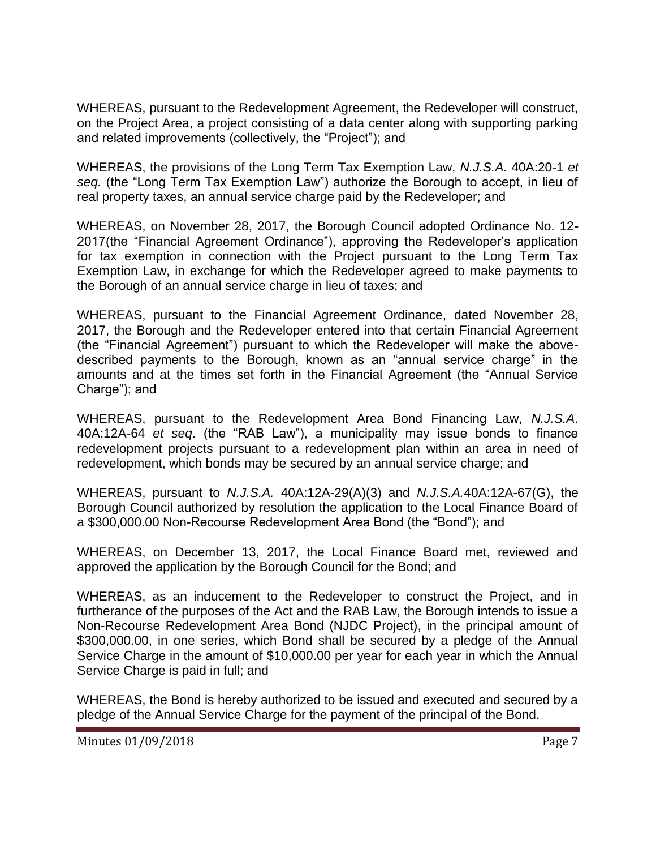WHEREAS, pursuant to the Redevelopment Agreement, the Redeveloper will construct, on the Project Area, a project consisting of a data center along with supporting parking and related improvements (collectively, the "Project"); and

WHEREAS, the provisions of the Long Term Tax Exemption Law, *N.J.S.A.* 40A:20-1 *et seq.* (the "Long Term Tax Exemption Law") authorize the Borough to accept, in lieu of real property taxes, an annual service charge paid by the Redeveloper; and

WHEREAS, on November 28, 2017, the Borough Council adopted Ordinance No. 12- 2017(the "Financial Agreement Ordinance"), approving the Redeveloper's application for tax exemption in connection with the Project pursuant to the Long Term Tax Exemption Law, in exchange for which the Redeveloper agreed to make payments to the Borough of an annual service charge in lieu of taxes; and

WHEREAS, pursuant to the Financial Agreement Ordinance, dated November 28, 2017, the Borough and the Redeveloper entered into that certain Financial Agreement (the "Financial Agreement") pursuant to which the Redeveloper will make the abovedescribed payments to the Borough, known as an "annual service charge" in the amounts and at the times set forth in the Financial Agreement (the "Annual Service Charge"); and

WHEREAS, pursuant to the Redevelopment Area Bond Financing Law, *N.J.S.A*. 40A:12A-64 *et seq*. (the "RAB Law"), a municipality may issue bonds to finance redevelopment projects pursuant to a redevelopment plan within an area in need of redevelopment, which bonds may be secured by an annual service charge; and

WHEREAS, pursuant to *N.J.S.A.* 40A:12A-29(A)(3) and *N.J.S.A.*40A:12A-67(G), the Borough Council authorized by resolution the application to the Local Finance Board of a \$300,000.00 Non-Recourse Redevelopment Area Bond (the "Bond"); and

WHEREAS, on December 13, 2017, the Local Finance Board met, reviewed and approved the application by the Borough Council for the Bond; and

WHEREAS, as an inducement to the Redeveloper to construct the Project, and in furtherance of the purposes of the Act and the RAB Law, the Borough intends to issue a Non-Recourse Redevelopment Area Bond (NJDC Project), in the principal amount of \$300,000.00, in one series, which Bond shall be secured by a pledge of the Annual Service Charge in the amount of \$10,000.00 per year for each year in which the Annual Service Charge is paid in full; and

WHEREAS, the Bond is hereby authorized to be issued and executed and secured by a pledge of the Annual Service Charge for the payment of the principal of the Bond.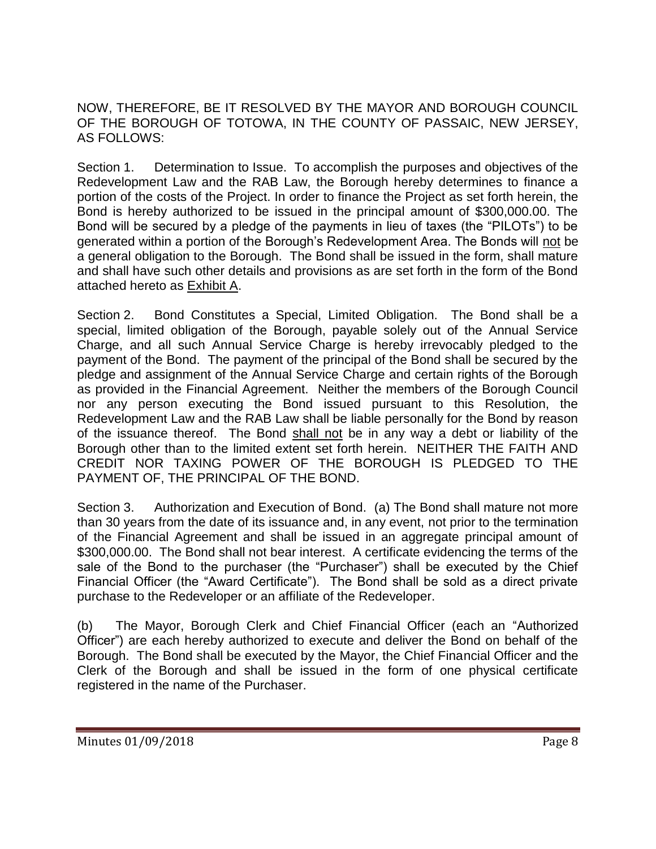NOW, THEREFORE, BE IT RESOLVED BY THE MAYOR AND BOROUGH COUNCIL OF THE BOROUGH OF TOTOWA, IN THE COUNTY OF PASSAIC, NEW JERSEY, AS FOLLOWS:

Section 1. Determination to Issue. To accomplish the purposes and objectives of the Redevelopment Law and the RAB Law, the Borough hereby determines to finance a portion of the costs of the Project. In order to finance the Project as set forth herein, the Bond is hereby authorized to be issued in the principal amount of \$300,000.00. The Bond will be secured by a pledge of the payments in lieu of taxes (the "PILOTs") to be generated within a portion of the Borough's Redevelopment Area. The Bonds will not be a general obligation to the Borough. The Bond shall be issued in the form, shall mature and shall have such other details and provisions as are set forth in the form of the Bond attached hereto as Exhibit A.

Section 2. Bond Constitutes a Special, Limited Obligation. The Bond shall be a special, limited obligation of the Borough, payable solely out of the Annual Service Charge, and all such Annual Service Charge is hereby irrevocably pledged to the payment of the Bond. The payment of the principal of the Bond shall be secured by the pledge and assignment of the Annual Service Charge and certain rights of the Borough as provided in the Financial Agreement. Neither the members of the Borough Council nor any person executing the Bond issued pursuant to this Resolution, the Redevelopment Law and the RAB Law shall be liable personally for the Bond by reason of the issuance thereof. The Bond shall not be in any way a debt or liability of the Borough other than to the limited extent set forth herein. NEITHER THE FAITH AND CREDIT NOR TAXING POWER OF THE BOROUGH IS PLEDGED TO THE PAYMENT OF, THE PRINCIPAL OF THE BOND.

Section 3. Authorization and Execution of Bond. (a) The Bond shall mature not more than 30 years from the date of its issuance and, in any event, not prior to the termination of the Financial Agreement and shall be issued in an aggregate principal amount of \$300,000.00. The Bond shall not bear interest. A certificate evidencing the terms of the sale of the Bond to the purchaser (the "Purchaser") shall be executed by the Chief Financial Officer (the "Award Certificate"). The Bond shall be sold as a direct private purchase to the Redeveloper or an affiliate of the Redeveloper.

(b) The Mayor, Borough Clerk and Chief Financial Officer (each an "Authorized Officer") are each hereby authorized to execute and deliver the Bond on behalf of the Borough. The Bond shall be executed by the Mayor, the Chief Financial Officer and the Clerk of the Borough and shall be issued in the form of one physical certificate registered in the name of the Purchaser.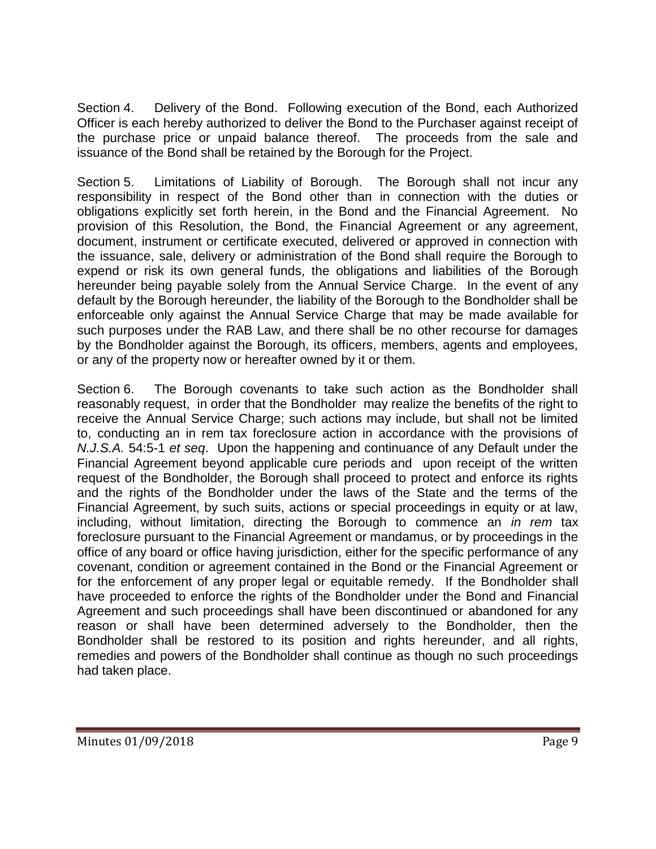Section 4. Delivery of the Bond. Following execution of the Bond, each Authorized Officer is each hereby authorized to deliver the Bond to the Purchaser against receipt of the purchase price or unpaid balance thereof. The proceeds from the sale and issuance of the Bond shall be retained by the Borough for the Project.

Section 5. Limitations of Liability of Borough. The Borough shall not incur any responsibility in respect of the Bond other than in connection with the duties or obligations explicitly set forth herein, in the Bond and the Financial Agreement. No provision of this Resolution, the Bond, the Financial Agreement or any agreement, document, instrument or certificate executed, delivered or approved in connection with the issuance, sale, delivery or administration of the Bond shall require the Borough to expend or risk its own general funds, the obligations and liabilities of the Borough hereunder being payable solely from the Annual Service Charge. In the event of any default by the Borough hereunder, the liability of the Borough to the Bondholder shall be enforceable only against the Annual Service Charge that may be made available for such purposes under the RAB Law, and there shall be no other recourse for damages by the Bondholder against the Borough, its officers, members, agents and employees, or any of the property now or hereafter owned by it or them.

Section 6. The Borough covenants to take such action as the Bondholder shall reasonably request, in order that the Bondholder may realize the benefits of the right to receive the Annual Service Charge; such actions may include, but shall not be limited to, conducting an in rem tax foreclosure action in accordance with the provisions of *N.J.S.A.* 54:5-1 *et seq*. Upon the happening and continuance of any Default under the Financial Agreement beyond applicable cure periods and upon receipt of the written request of the Bondholder, the Borough shall proceed to protect and enforce its rights and the rights of the Bondholder under the laws of the State and the terms of the Financial Agreement, by such suits, actions or special proceedings in equity or at law, including, without limitation, directing the Borough to commence an *in rem* tax foreclosure pursuant to the Financial Agreement or mandamus, or by proceedings in the office of any board or office having jurisdiction, either for the specific performance of any covenant, condition or agreement contained in the Bond or the Financial Agreement or for the enforcement of any proper legal or equitable remedy. If the Bondholder shall have proceeded to enforce the rights of the Bondholder under the Bond and Financial Agreement and such proceedings shall have been discontinued or abandoned for any reason or shall have been determined adversely to the Bondholder, then the Bondholder shall be restored to its position and rights hereunder, and all rights, remedies and powers of the Bondholder shall continue as though no such proceedings had taken place.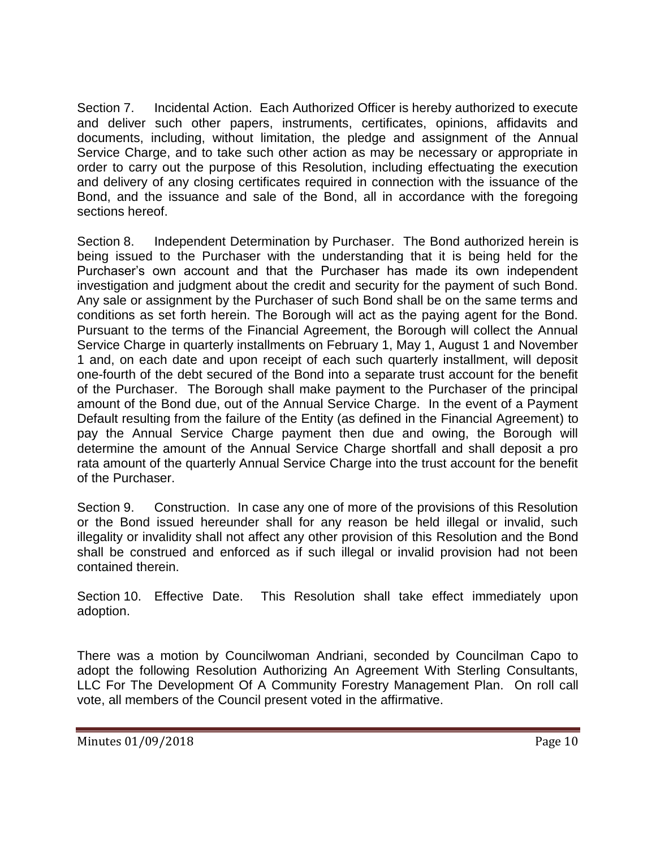Section 7. Incidental Action. Each Authorized Officer is hereby authorized to execute and deliver such other papers, instruments, certificates, opinions, affidavits and documents, including, without limitation, the pledge and assignment of the Annual Service Charge, and to take such other action as may be necessary or appropriate in order to carry out the purpose of this Resolution, including effectuating the execution and delivery of any closing certificates required in connection with the issuance of the Bond, and the issuance and sale of the Bond, all in accordance with the foregoing sections hereof.

Section 8. Independent Determination by Purchaser. The Bond authorized herein is being issued to the Purchaser with the understanding that it is being held for the Purchaser's own account and that the Purchaser has made its own independent investigation and judgment about the credit and security for the payment of such Bond. Any sale or assignment by the Purchaser of such Bond shall be on the same terms and conditions as set forth herein. The Borough will act as the paying agent for the Bond. Pursuant to the terms of the Financial Agreement, the Borough will collect the Annual Service Charge in quarterly installments on February 1, May 1, August 1 and November 1 and, on each date and upon receipt of each such quarterly installment, will deposit one-fourth of the debt secured of the Bond into a separate trust account for the benefit of the Purchaser. The Borough shall make payment to the Purchaser of the principal amount of the Bond due, out of the Annual Service Charge. In the event of a Payment Default resulting from the failure of the Entity (as defined in the Financial Agreement) to pay the Annual Service Charge payment then due and owing, the Borough will determine the amount of the Annual Service Charge shortfall and shall deposit a pro rata amount of the quarterly Annual Service Charge into the trust account for the benefit of the Purchaser.

Section 9. Construction. In case any one of more of the provisions of this Resolution or the Bond issued hereunder shall for any reason be held illegal or invalid, such illegality or invalidity shall not affect any other provision of this Resolution and the Bond shall be construed and enforced as if such illegal or invalid provision had not been contained therein.

Section 10. Effective Date. This Resolution shall take effect immediately upon adoption.

There was a motion by Councilwoman Andriani, seconded by Councilman Capo to adopt the following Resolution Authorizing An Agreement With Sterling Consultants, LLC For The Development Of A Community Forestry Management Plan. On roll call vote, all members of the Council present voted in the affirmative.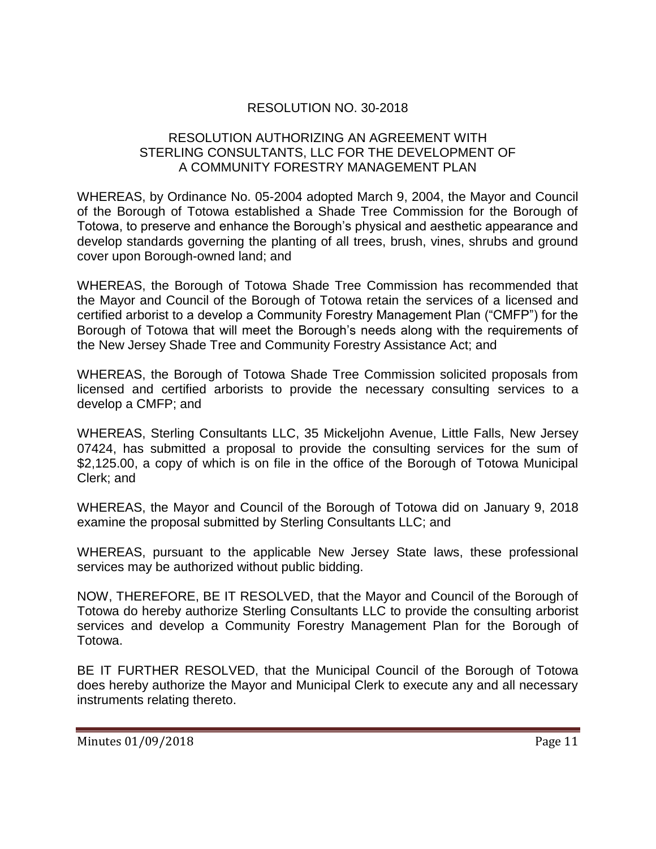# RESOLUTION NO. 30-2018

## RESOLUTION AUTHORIZING AN AGREEMENT WITH STERLING CONSULTANTS, LLC FOR THE DEVELOPMENT OF A COMMUNITY FORESTRY MANAGEMENT PLAN

WHEREAS, by Ordinance No. 05-2004 adopted March 9, 2004, the Mayor and Council of the Borough of Totowa established a Shade Tree Commission for the Borough of Totowa, to preserve and enhance the Borough's physical and aesthetic appearance and develop standards governing the planting of all trees, brush, vines, shrubs and ground cover upon Borough-owned land; and

WHEREAS, the Borough of Totowa Shade Tree Commission has recommended that the Mayor and Council of the Borough of Totowa retain the services of a licensed and certified arborist to a develop a Community Forestry Management Plan ("CMFP") for the Borough of Totowa that will meet the Borough's needs along with the requirements of the New Jersey Shade Tree and Community Forestry Assistance Act; and

WHEREAS, the Borough of Totowa Shade Tree Commission solicited proposals from licensed and certified arborists to provide the necessary consulting services to a develop a CMFP; and

WHEREAS, Sterling Consultants LLC, 35 Mickeljohn Avenue, Little Falls, New Jersey 07424, has submitted a proposal to provide the consulting services for the sum of \$2,125.00, a copy of which is on file in the office of the Borough of Totowa Municipal Clerk; and

WHEREAS, the Mayor and Council of the Borough of Totowa did on January 9, 2018 examine the proposal submitted by Sterling Consultants LLC; and

WHEREAS, pursuant to the applicable New Jersey State laws, these professional services may be authorized without public bidding.

NOW, THEREFORE, BE IT RESOLVED, that the Mayor and Council of the Borough of Totowa do hereby authorize Sterling Consultants LLC to provide the consulting arborist services and develop a Community Forestry Management Plan for the Borough of Totowa.

BE IT FURTHER RESOLVED, that the Municipal Council of the Borough of Totowa does hereby authorize the Mayor and Municipal Clerk to execute any and all necessary instruments relating thereto.